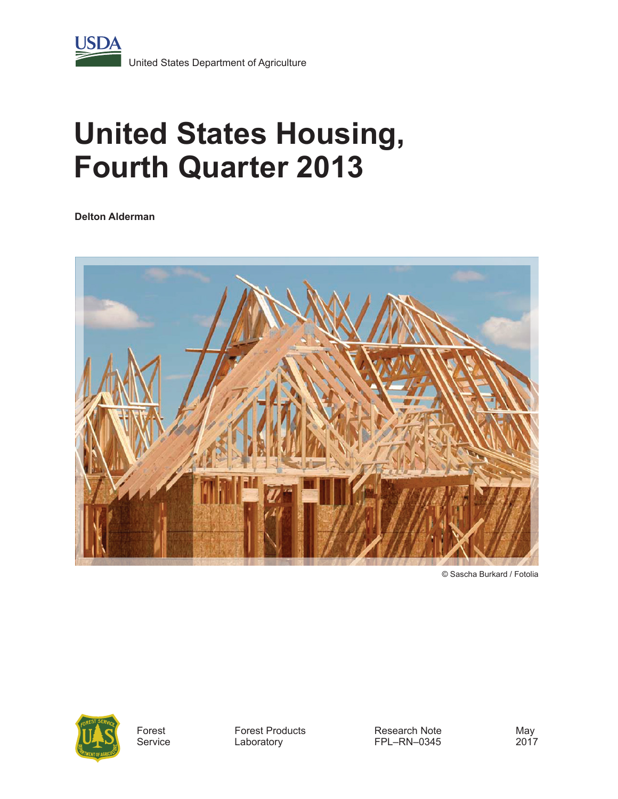

# **United States Housing, Fourth Quarter 2013**

**Delton Alderman**



© Sascha Burkard / Fotolia



Forest **Service**  Forest Products Laboratory

Research Note FPL–RN–0345

May 2017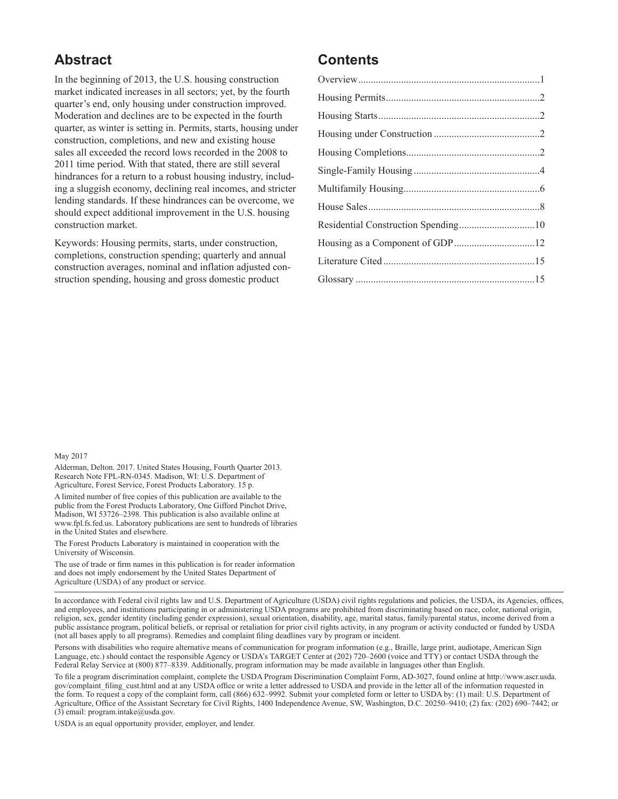## **Abstract**

In the beginning of 2013, the U.S. housing construction market indicated increases in all sectors; yet, by the fourth quarter's end, only housing under construction improved. Moderation and declines are to be expected in the fourth quarter, as winter is setting in. Permits, starts, housing under construction, completions, and new and existing house sales all exceeded the record lows recorded in the 2008 to 2011 time period. With that stated, there are still several hindrances for a return to a robust housing industry, including a sluggish economy, declining real incomes, and stricter lending standards. If these hindrances can be overcome, we should expect additional improvement in the U.S. housing construction market.

Keywords: Housing permits, starts, under construction, completions, construction spending; quarterly and annual construction averages, nominal and inflation adjusted construction spending, housing and gross domestic product

#### **Contents**

#### May 2017

Alderman, Delton. 2017. United States Housing, Fourth Quarter 2013. Research Note FPL-RN-0345. Madison, WI: U.S. Department of Agriculture, Forest Service, Forest Products Laboratory. 15 p.

A limited number of free copies of this publication are available to the public from the Forest Products Laboratory, One Gifford Pinchot Drive, Madison, WI 53726–2398. This publication is also available online at www.fpl.fs.fed.us. Laboratory publications are sent to hundreds of libraries in the United States and elsewhere.

The Forest Products Laboratory is maintained in cooperation with the University of Wisconsin.

The use of trade or firm names in this publication is for reader information and does not imply endorsement by the United States Department of Agriculture (USDA) of any product or service.

In accordance with Federal civil rights law and U.S. Department of Agriculture (USDA) civil rights regulations and policies, the USDA, its Agencies, offices, and employees, and institutions participating in or administering USDA programs are prohibited from discriminating based on race, color, national origin, religion, sex, gender identity (including gender expression), sexual orientation, disability, age, marital status, family/parental status, income derived from a public assistance program, political beliefs, or reprisal or retaliation for prior civil rights activity, in any program or activity conducted or funded by USDA (not all bases apply to all programs). Remedies and complaint filing deadlines vary by program or incident.

Persons with disabilities who require alternative means of communication for program information (e.g., Braille, large print, audiotape, American Sign Language, etc.) should contact the responsible Agency or USDA's TARGET Center at (202) 720–2600 (voice and TTY) or contact USDA through the Federal Relay Service at (800) 877–8339. Additionally, program information may be made available in languages other than English.

To file a program discrimination complaint, complete the USDA Program Discrimination Complaint Form, AD-3027, found online at [http://www.ascr.usda.](http://www.ascr.usda.gov/complaint_filing_cust.html) [gov/complaint\\_filing\\_cust.html](http://www.ascr.usda.gov/complaint_filing_cust.html) and at any USDA office or write a letter addressed to USDA and provide in the letter all of the information requested in the form. To request a copy of the complaint form, call (866) 632–9992. Submit your completed form or letter to USDA by: (1) mail: U.S. Department of Agriculture, Office of the Assistant Secretary for Civil Rights, 1400 Independence Avenue, SW, Washington, D.C. 20250–9410; (2) fax: (202) 690–7442; or (3) email: [program.intake@usda.gov](mailto:program.intake@usda.gov).

USDA is an equal opportunity provider, employer, and lender.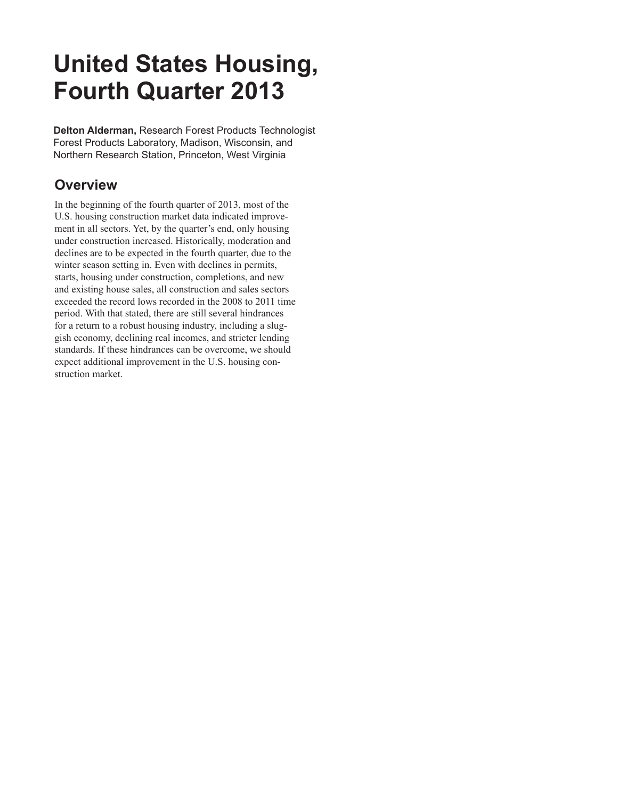## **United States Housing, Fourth Quarter 2013**

**Delton Alderman,** Research Forest Products Technologist Forest Products Laboratory, Madison, Wisconsin, and Northern Research Station, Princeton, West Virginia

## **Overview**

In the beginning of the fourth quarter of 2013, most of the U.S. housing construction market data indicated improvement in all sectors. Yet, by the quarter's end, only housing under construction increased. Historically, moderation and declines are to be expected in the fourth quarter, due to the winter season setting in. Even with declines in permits, starts, housing under construction, completions, and new and existing house sales, all construction and sales sectors exceeded the record lows recorded in the 2008 to 2011 time period. With that stated, there are still several hindrances for a return to a robust housing industry, including a sluggish economy, declining real incomes, and stricter lending standards. If these hindrances can be overcome, we should expect additional improvement in the U.S. housing construction market.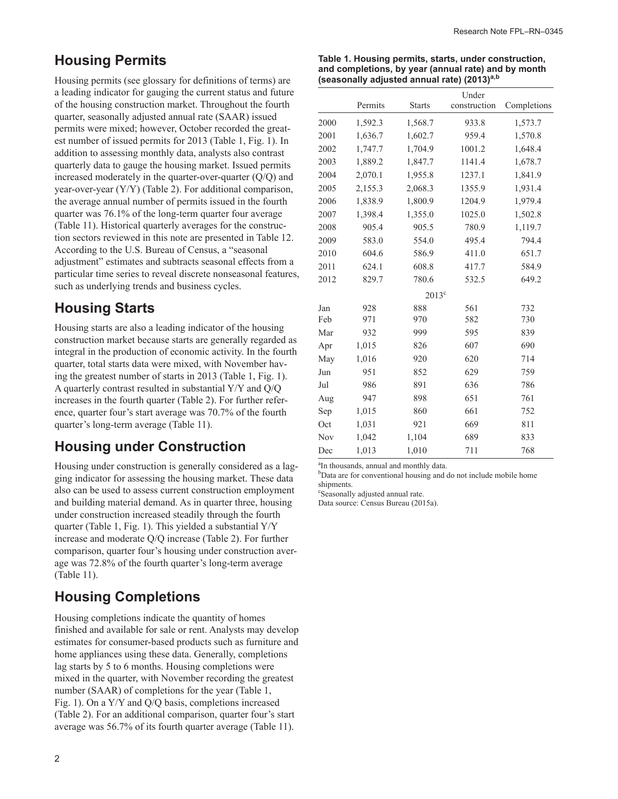#### **Housing Permits**

Housing permits (see glossary for definitions of terms) are a leading indicator for gauging the current status and future of the housing construction market. Throughout the fourth quarter, seasonally adjusted annual rate (SAAR) issued permits were mixed; however, October recorded the greatest number of issued permits for 2013 (Table 1, Fig. 1). In addition to assessing monthly data, analysts also contrast quarterly data to gauge the housing market. Issued permits increased moderately in the quarter-over-quarter (Q/Q) and year-over-year (Y/Y) (Table 2). For additional comparison, the average annual number of permits issued in the fourth quarter was 76.1% of the long-term quarter four average (Table 11). Historical quarterly averages for the construction sectors reviewed in this note are presented in Table 12. According to the U.S. Bureau of Census, a "seasonal adjustment" estimates and subtracts seasonal effects from a particular time series to reveal discrete nonseasonal features, such as underlying trends and business cycles.

#### **Housing Starts**

Housing starts are also a leading indicator of the housing construction market because starts are generally regarded as integral in the production of economic activity. In the fourth quarter, total starts data were mixed, with November having the greatest number of starts in 2013 (Table 1, Fig. 1). A quarterly contrast resulted in substantial Y/Y and Q/Q increases in the fourth quarter (Table 2). For further reference, quarter four's start average was 70.7% of the fourth quarter's long-term average (Table 11).

#### **Housing under Construction**

Housing under construction is generally considered as a lagging indicator for assessing the housing market. These data also can be used to assess current construction employment and building material demand. As in quarter three, housing under construction increased steadily through the fourth quarter (Table 1, Fig. 1). This yielded a substantial Y/Y increase and moderate Q/Q increase (Table 2). For further comparison, quarter four's housing under construction average was 72.8% of the fourth quarter's long-term average (Table 11).

#### **Housing Completions**

Housing completions indicate the quantity of homes finished and available for sale or rent. Analysts may develop estimates for consumer-based products such as furniture and home appliances using these data. Generally, completions lag starts by 5 to 6 months. Housing completions were mixed in the quarter, with November recording the greatest number (SAAR) of completions for the year (Table 1, Fig. 1). On a Y/Y and Q/Q basis, completions increased (Table 2). For an additional comparison, quarter four's start average was 56.7% of its fourth quarter average (Table 11).

| Table 1. Housing permits, starts, under construction,   |
|---------------------------------------------------------|
| and completions, by year (annual rate) and by month     |
| (seasonally adjusted annual rate) (2013) <sup>a,b</sup> |

|      |         |                | Under        |             |
|------|---------|----------------|--------------|-------------|
|      | Permits | <b>Starts</b>  | construction | Completions |
| 2000 | 1,592.3 | 1,568.7        | 933.8        | 1,573.7     |
| 2001 | 1,636.7 | 1,602.7        | 959.4        | 1,570.8     |
| 2002 | 1,747.7 | 1,704.9        | 1001.2       | 1,648.4     |
| 2003 | 1,889.2 | 1,847.7        | 1141.4       | 1,678.7     |
| 2004 | 2,070.1 | 1,955.8        | 1237.1       | 1,841.9     |
| 2005 | 2,155.3 | 2,068.3        | 1355.9       | 1,931.4     |
| 2006 | 1,838.9 | 1,800.9        | 1204.9       | 1,979.4     |
| 2007 | 1,398.4 | 1,355.0        | 1025.0       | 1,502.8     |
| 2008 | 905.4   | 905.5          | 780.9        | 1,119.7     |
| 2009 | 583.0   | 554.0          | 495.4        | 794.4       |
| 2010 | 604.6   | 586.9          | 411.0        | 651.7       |
| 2011 | 624.1   | 608.8          | 417.7        | 584.9       |
| 2012 | 829.7   | 780.6          | 532.5        | 649.2       |
|      |         | $2013^{\circ}$ |              |             |
| Jan  | 928     | 888            | 561          | 732         |
| Feb  | 971     | 970            | 582          | 730         |
| Mar  | 932     | 999            | 595          | 839         |
| Apr  | 1,015   | 826            | 607          | 690         |
| May  | 1,016   | 920            | 620          | 714         |
| Jun  | 951     | 852            | 629          | 759         |
| Jul  | 986     | 891            | 636          | 786         |
| Aug  | 947     | 898            | 651          | 761         |
| Sep  | 1,015   | 860            | 661          | 752         |
| Oct  | 1,031   | 921            | 669          | 811         |
| Nov  | 1,042   | 1,104          | 689          | 833         |
| Dec  | 1,013   | 1,010          | 711          | 768         |

<sup>a</sup>In thousands, annual and monthly data.

b Data are for conventional housing and do not include mobile home shipments.

c Seasonally adjusted annual rate.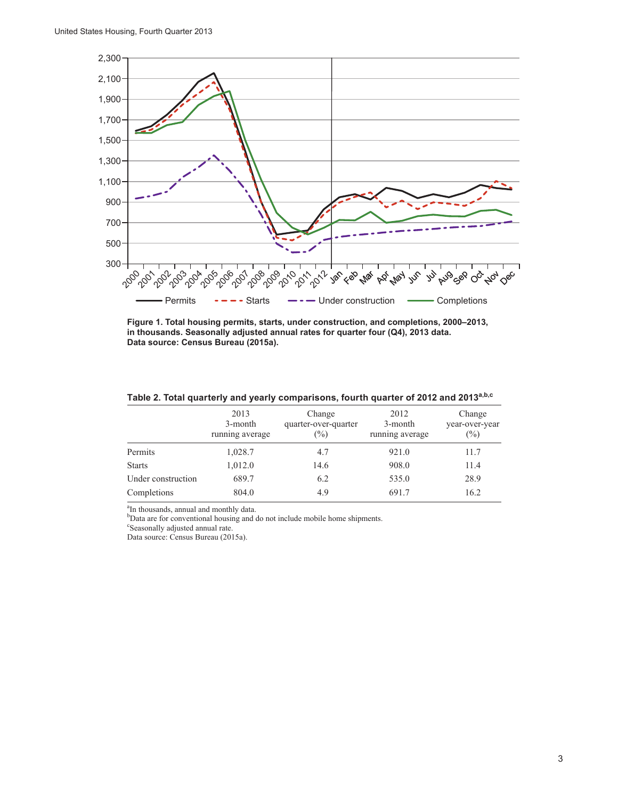

**Figure 1. Total housing permits, starts, under construction, and completions, 2000–2013, in thousands. Seasonally adjusted annual rates for quarter four (Q4), 2013 data. Data source: Census Bureau (2015a).**

|                    | 2013<br>3-month<br>running average | Change<br>quarter-over-quarter<br>$(\%)$ | 2012<br>3-month<br>running average | Change<br>year-over-year<br>$(\%)$ |
|--------------------|------------------------------------|------------------------------------------|------------------------------------|------------------------------------|
| Permits            | 1,028.7                            | 4.7                                      | 921.0                              | 11.7                               |
| <b>Starts</b>      | 1,012.0                            | 14.6                                     | 908.0                              | 11.4                               |
| Under construction | 689.7                              | 6.2                                      | 535.0                              | 28.9                               |
| Completions        | 804.0                              | 4.9                                      | 691.7                              | 16.2                               |

**Table 2. Total quarterly and yearly comparisons, fourth quarter of 2012 and 2013a,b,c**

<sup>a</sup>In thousands, annual and monthly data.<br><sup>b</sup>Data are for conventional housing and do not include mobile home shipments.

c Seasonally adjusted annual rate.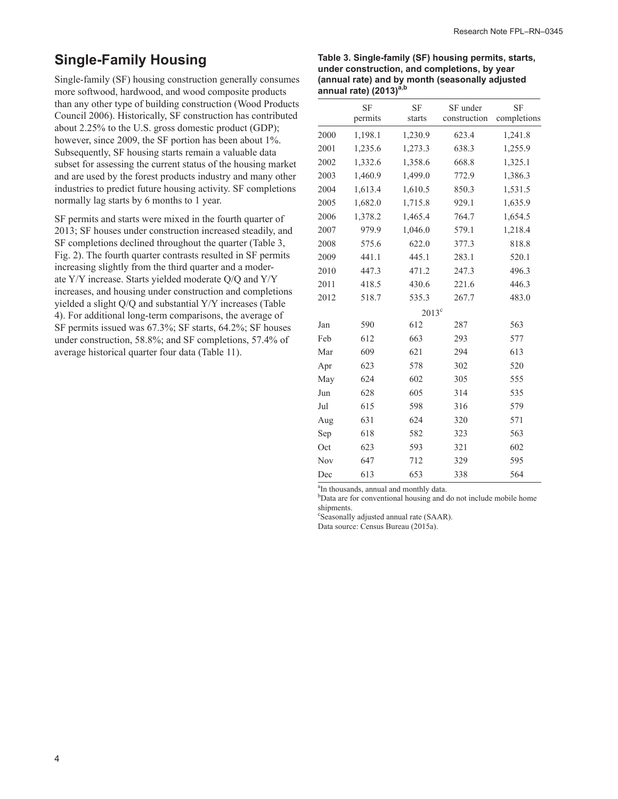## **Single-Family Housing**

Single-family (SF) housing construction generally consumes more softwood, hardwood, and wood composite products than any other type of building construction (Wood Products Council 2006). Historically, SF construction has contributed about 2.25% to the U.S. gross domestic product (GDP); however, since 2009, the SF portion has been about 1%. Subsequently, SF housing starts remain a valuable data subset for assessing the current status of the housing market and are used by the forest products industry and many other industries to predict future housing activity. SF completions normally lag starts by 6 months to 1 year.

SF permits and starts were mixed in the fourth quarter of 2013; SF houses under construction increased steadily, and SF completions declined throughout the quarter (Table 3, Fig. 2). The fourth quarter contrasts resulted in SF permits increasing slightly from the third quarter and a moderate Y/Y increase. Starts yielded moderate Q/Q and Y/Y increases, and housing under construction and completions yielded a slight Q/Q and substantial Y/Y increases (Table 4). For additional long-term comparisons, the average of SF permits issued was 67.3%; SF starts, 64.2%; SF houses under construction, 58.8%; and SF completions, 57.4% of average historical quarter four data (Table 11).

#### **Table 3. Single-family (SF) housing permits, starts, under construction, and completions, by year (annual rate) and by month (seasonally adjusted annual rate) (2013)a,b**

|      | <b>SF</b><br>permits | <b>SF</b><br>starts | SF under<br>construction | <b>SF</b><br>completions |
|------|----------------------|---------------------|--------------------------|--------------------------|
| 2000 | 1,198.1              | 1,230.9             | 623.4                    | 1,241.8                  |
| 2001 | 1,235.6              | 1,273.3             | 638.3                    | 1,255.9                  |
| 2002 | 1,332.6              | 1,358.6             | 668.8                    | 1,325.1                  |
| 2003 | 1,460.9              | 1,499.0             | 772.9                    | 1,386.3                  |
| 2004 | 1,613.4              | 1,610.5             | 850.3                    | 1,531.5                  |
| 2005 | 1,682.0              | 1,715.8             | 929.1                    | 1,635.9                  |
| 2006 | 1,378.2              | 1,465.4             | 764.7                    | 1,654.5                  |
| 2007 | 979.9                | 1,046.0             | 579.1                    | 1,218.4                  |
| 2008 | 575.6                | 622.0               | 377.3                    | 818.8                    |
| 2009 | 441.1                | 445.1               | 283.1                    | 520.1                    |
| 2010 | 447.3                | 471.2               | 247.3                    | 496.3                    |
| 2011 | 418.5                | 430.6               | 221.6                    | 446.3                    |
| 2012 | 518.7                | 535.3               | 267.7                    | 483.0                    |
|      |                      | $2013^c$            |                          |                          |
| Jan  | 590                  | 612                 | 287                      | 563                      |
| Feb  | 612                  | 663                 | 293                      | 577                      |
| Mar  | 609                  | 621                 | 294                      | 613                      |
| Apr  | 623                  | 578                 | 302                      | 520                      |
| May  | 624                  | 602                 | 305                      | 555                      |
| Jun  | 628                  | 605                 | 314                      | 535                      |
| Jul  | 615                  | 598                 | 316                      | 579                      |
| Aug  | 631                  | 624                 | 320                      | 571                      |
| Sep  | 618                  | 582                 | 323                      | 563                      |
| Oct  | 623                  | 593                 | 321                      | 602                      |
| Nov  | 647                  | 712                 | 329                      | 595                      |
| Dec  | 613                  | 653                 | 338                      | 564                      |

<sup>a</sup>In thousands, annual and monthly data.

<sup>b</sup>Data are for conventional housing and do not include mobile home shipments.

c Seasonally adjusted annual rate (SAAR).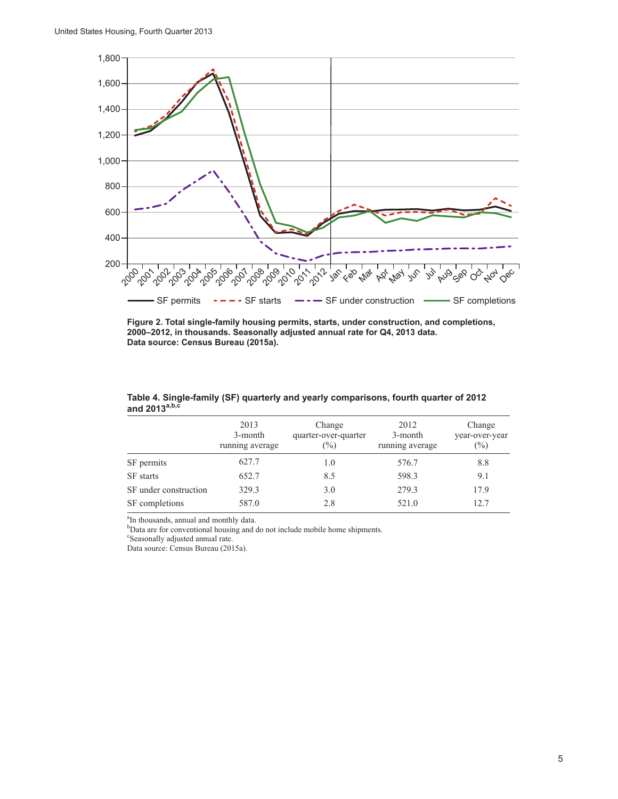

**Figure 2. Total single-family housing permits, starts, under construction, and completions, 2000–2012, in thousands. Seasonally adjusted annual rate for Q4, 2013 data. Data source: Census Bureau (2015a).**

|                       | 2013<br>3-month<br>running average | Change<br>quarter-over-quarter<br>$(\%)$ | 2012<br>3-month<br>running average | Change<br>year-over-year<br>$(\%)$ |
|-----------------------|------------------------------------|------------------------------------------|------------------------------------|------------------------------------|
| SF permits            | 627.7                              | 1.0                                      | 576.7                              | 8.8                                |
| <b>SF</b> starts      | 652.7                              | 8.5                                      | 598.3                              | 9.1                                |
| SF under construction | 329.3                              | 3.0                                      | 279.3                              | 17.9                               |
| SF completions        | 587.0                              | 2.8                                      | 521.0                              | 12.7                               |

**Table 4. Single-family (SF) quarterly and yearly comparisons, fourth quarter of 2012 and 2013a,b,c**

<sup>a</sup>In thousands, annual and monthly data.

<sup>b</sup>Data are for conventional housing and do not include mobile home shipments.

c Seasonally adjusted annual rate.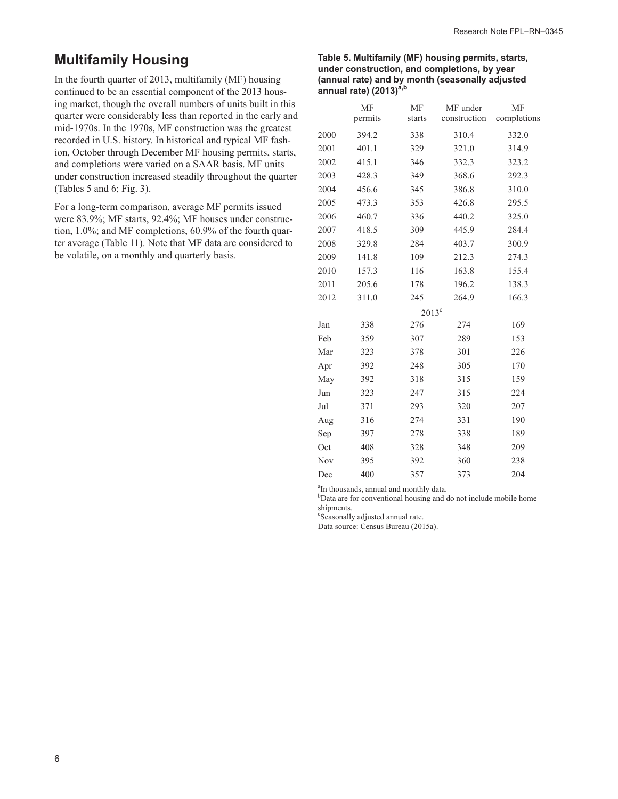## **Multifamily Housing**

In the fourth quarter of 2013, multifamily (MF) housing continued to be an essential component of the 2013 housing market, though the overall numbers of units built in this quarter were considerably less than reported in the early and mid-1970s. In the 1970s, MF construction was the greatest recorded in U.S. history. In historical and typical MF fashion, October through December MF housing permits, starts, and completions were varied on a SAAR basis. MF units under construction increased steadily throughout the quarter (Tables 5 and 6; Fig. 3).

For a long-term comparison, average MF permits issued were 83.9%; MF starts, 92.4%; MF houses under construction, 1.0%; and MF completions, 60.9% of the fourth quarter average (Table 11). Note that MF data are considered to be volatile, on a monthly and quarterly basis.

#### **Table 5. Multifamily (MF) housing permits, starts, under construction, and completions, by year (annual rate) and by month (seasonally adjusted annual rate) (2013)a,b**

|      | MF<br>permits | MF<br>starts   | MF under<br>construction | MF<br>completions |
|------|---------------|----------------|--------------------------|-------------------|
| 2000 | 394.2         | 338            | 310.4                    | 332.0             |
| 2001 | 401.1         | 329            | 321.0                    | 314.9             |
| 2002 | 415.1         | 346            | 332.3                    | 323.2             |
| 2003 | 428.3         | 349            | 368.6                    | 292.3             |
| 2004 | 456.6         | 345            | 386.8                    | 310.0             |
| 2005 | 473.3         | 353            | 426.8                    | 295.5             |
| 2006 | 460.7         | 336            | 440.2                    | 325.0             |
| 2007 | 418.5         | 309            | 445.9                    | 284.4             |
| 2008 | 329.8         | 284            | 403.7                    | 300.9             |
| 2009 | 141.8         | 109            | 212.3                    | 274.3             |
| 2010 | 157.3         | 116            | 163.8                    | 155.4             |
| 2011 | 205.6         | 178            | 196.2                    | 138.3             |
| 2012 | 311.0         | 245            | 264.9                    | 166.3             |
|      |               | $2013^{\circ}$ |                          |                   |
| Jan  | 338           | 276            | 274                      | 169               |
| Feb  | 359           | 307            | 289                      | 153               |
| Mar  | 323           | 378            | 301                      | 226               |
| Apr  | 392           | 248            | 305                      | 170               |
| May  | 392           | 318            | 315                      | 159               |
| Jun  | 323           | 247            | 315                      | 224               |
| Jul  | 371           | 293            | 320                      | 207               |
| Aug  | 316           | 274            | 331                      | 190               |
| Sep  | 397           | 278            | 338                      | 189               |
| Oct  | 408           | 328            | 348                      | 209               |
| Nov  | 395           | 392            | 360                      | 238               |
| Dec  | 400           | 357            | 373                      | 204               |

<sup>a</sup>In thousands, annual and monthly data.

<sup>b</sup>Data are for conventional housing and do not include mobile home shipments.

c Seasonally adjusted annual rate.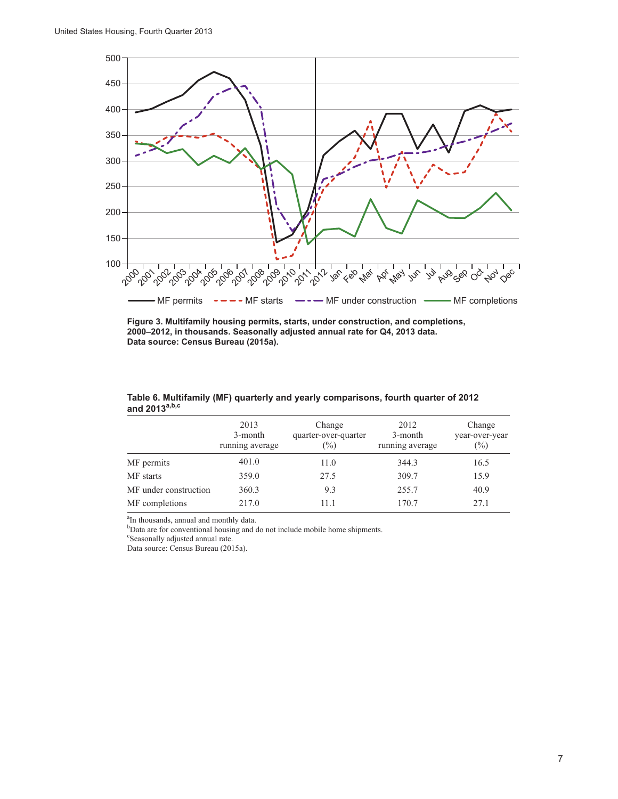

**Figure 3. Multifamily housing permits, starts, under construction, and completions, 2000–2012, in thousands. Seasonally adjusted annual rate for Q4, 2013 data. Data source: Census Bureau (2015a).**

|                       | 2013<br>3-month<br>running average | Change<br>quarter-over-quarter<br>$\frac{0}{0}$ | 2012<br>3-month<br>running average | Change<br>year-over-year<br>$(\%)$ |
|-----------------------|------------------------------------|-------------------------------------------------|------------------------------------|------------------------------------|
| MF permits            | 401.0                              | 11.0                                            | 344.3                              | 16.5                               |
| MF starts             | 359.0                              | 27.5                                            | 309.7                              | 15.9                               |
| MF under construction | 360.3                              | 9.3                                             | 255.7                              | 40.9                               |
| MF completions        | 217.0                              | 11.1                                            | 170.7                              | 27.1                               |

**Table 6. Multifamily (MF) quarterly and yearly comparisons, fourth quarter of 2012 and 2013a,b,c**

<sup>a</sup>In thousands, annual and monthly data.

<sup>b</sup>Data are for conventional housing and do not include mobile home shipments.

c Seasonally adjusted annual rate.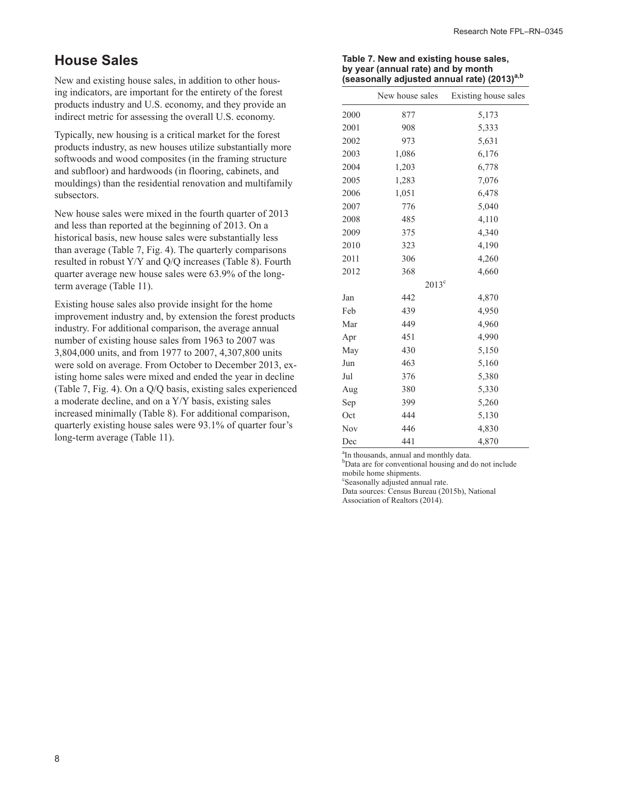## **House Sales**

New and existing house sales, in addition to other housing indicators, are important for the entirety of the forest products industry and U.S. economy, and they provide an indirect metric for assessing the overall U.S. economy.

Typically, new housing is a critical market for the forest products industry, as new houses utilize substantially more softwoods and wood composites (in the framing structure and subfloor) and hardwoods (in flooring, cabinets, and mouldings) than the residential renovation and multifamily subsectors.

New house sales were mixed in the fourth quarter of 2013 and less than reported at the beginning of 2013. On a historical basis, new house sales were substantially less than average (Table 7, Fig. 4). The quarterly comparisons resulted in robust Y/Y and Q/Q increases (Table 8). Fourth quarter average new house sales were 63.9% of the longterm average (Table 11).

Existing house sales also provide insight for the home improvement industry and, by extension the forest products industry. For additional comparison, the average annual number of existing house sales from 1963 to 2007 was 3,804,000 units, and from 1977 to 2007, 4,307,800 units were sold on average. From October to December 2013, existing home sales were mixed and ended the year in decline (Table 7, Fig. 4). On a Q/Q basis, existing sales experienced a moderate decline, and on a Y/Y basis, existing sales increased minimally (Table 8). For additional comparison, quarterly existing house sales were 93.1% of quarter four's long-term average (Table 11).

#### **Table 7. New and existing house sales, by year (annual rate) and by month (seasonally adjusted annual rate) (2013)a,b**

|      | New house sales | Existing house sales |
|------|-----------------|----------------------|
| 2000 | 877             | 5,173                |
| 2001 | 908             | 5,333                |
| 2002 | 973             | 5,631                |
| 2003 | 1,086           | 6,176                |
| 2004 | 1,203           | 6,778                |
| 2005 | 1,283           | 7,076                |
| 2006 | 1,051           | 6,478                |
| 2007 | 776             | 5,040                |
| 2008 | 485             | 4,110                |
| 2009 | 375             | 4,340                |
| 2010 | 323             | 4,190                |
| 2011 | 306             | 4,260                |
| 2012 | 368             | 4,660                |
|      | $2013^{\circ}$  |                      |
| Jan  | 442             | 4,870                |
| Feb  | 439             | 4,950                |
| Mar  | 449             | 4,960                |
| Apr  | 451             | 4,990                |
| May  | 430             | 5,150                |
| Jun  | 463             | 5,160                |
| Jul  | 376             | 5,380                |
| Aug  | 380             | 5,330                |
| Sep  | 399             | 5,260                |
| Oct  | 444             | 5,130                |
| Nov  | 446             | 4,830                |
| Dec  | 441             | 4,870                |

<sup>a</sup>In thousands, annual and monthly data.

<sup>b</sup>Data are for conventional housing and do not include mobile home shipments.

c Seasonally adjusted annual rate.

Data sources: Census Bureau (2015b), National Association of Realtors (2014).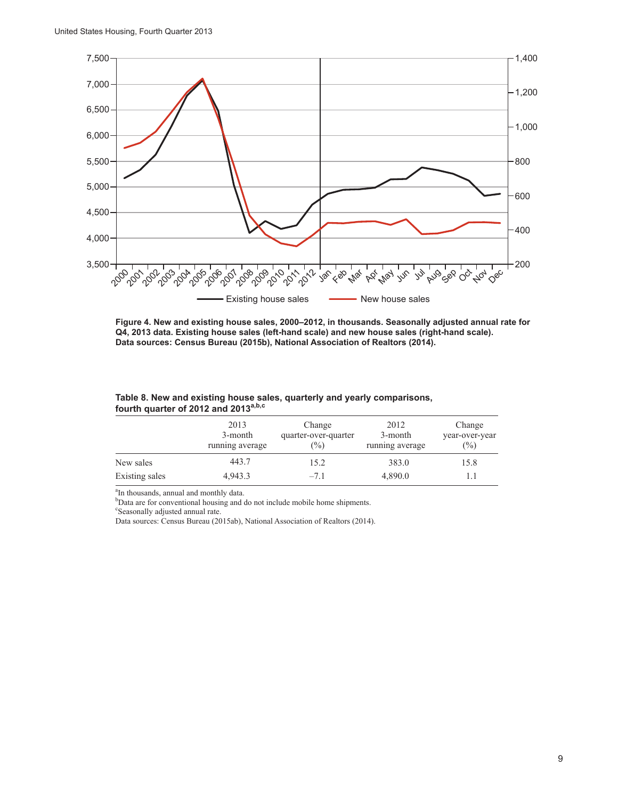

**Figure 4. New and existing house sales, 2000–2012, in thousands. Seasonally adjusted annual rate for Q4, 2013 data. Existing house sales (left-hand scale) and new house sales (right-hand scale). Data sources: Census Bureau (2015b), National Association of Realtors (2014).**

|                | 2013<br>3-month<br>running average | Change<br>quarter-over-quarter<br>(%) | 2012<br>3-month<br>running average | Change<br>year-over-year<br>$($ %) |
|----------------|------------------------------------|---------------------------------------|------------------------------------|------------------------------------|
| New sales      | 443.7                              | 15.2                                  | 383.0                              | 15.8                               |
| Existing sales | 4,943.3                            | $-7.1$                                | 4,890.0                            |                                    |

#### **Table 8. New and existing house sales, quarterly and yearly comparisons, fourth quarter of 2012 and 2013a,b,c**

<sup>a</sup>In thousands, annual and monthly data.

<sup>b</sup>Data are for conventional housing and do not include mobile home shipments.

c Seasonally adjusted annual rate.

Data sources: Census Bureau (2015ab), National Association of Realtors (2014).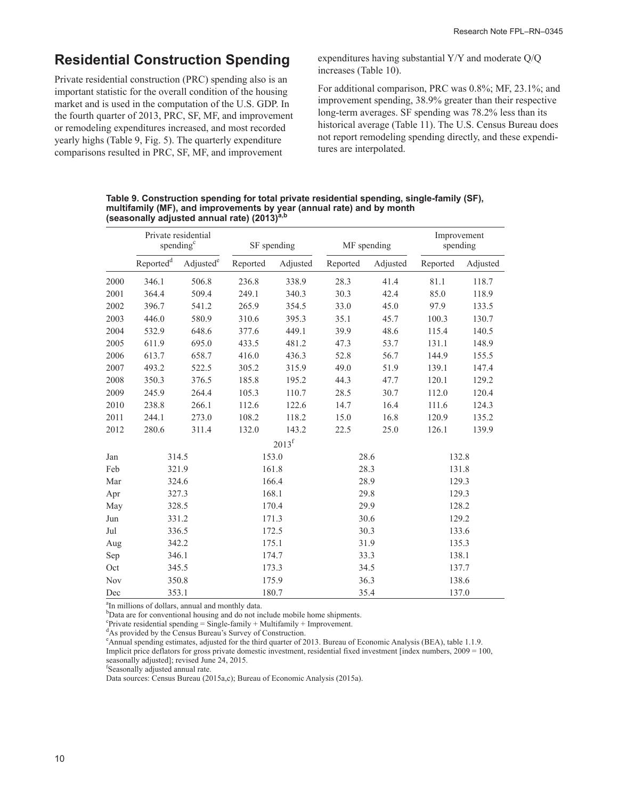## **Residential Construction Spending**

Private residential construction (PRC) spending also is an important statistic for the overall condition of the housing market and is used in the computation of the U.S. GDP. In the fourth quarter of 2013, PRC, SF, MF, and improvement or remodeling expenditures increased, and most recorded yearly highs (Table 9, Fig. 5). The quarterly expenditure comparisons resulted in PRC, SF, MF, and improvement

expenditures having substantial Y/Y and moderate Q/Q increases (Table 10).

For additional comparison, PRC was 0.8%; MF, 23.1%; and improvement spending, 38.9% greater than their respective long-term averages. SF spending was 78.2% less than its historical average (Table 11). The U.S. Census Bureau does not report remodeling spending directly, and these expenditures are interpolated.

**Table 9. Construction spending for total private residential spending, single-family (SF),**  multifamily (MF), and improvements by year (annual rate) and by month<br>(seasonally adjusted annual rate) (2013)<sup>a,b</sup>

|            |                       | Private residential<br>spending <sup>c</sup> | SF spending |                | MF spending |          |          |          | Improvement<br>spending |  |
|------------|-----------------------|----------------------------------------------|-------------|----------------|-------------|----------|----------|----------|-------------------------|--|
|            | Reported <sup>d</sup> | Adjusted <sup>e</sup>                        | Reported    | Adjusted       | Reported    | Adjusted | Reported | Adjusted |                         |  |
| 2000       | 346.1                 | 506.8                                        | 236.8       | 338.9          | 28.3        | 41.4     | 81.1     | 118.7    |                         |  |
| 2001       | 364.4                 | 509.4                                        | 249.1       | 340.3          | 30.3        | 42.4     | 85.0     | 118.9    |                         |  |
| 2002       | 396.7                 | 541.2                                        | 265.9       | 354.5          | 33.0        | 45.0     | 97.9     | 133.5    |                         |  |
| 2003       | 446.0                 | 580.9                                        | 310.6       | 395.3          | 35.1        | 45.7     | 100.3    | 130.7    |                         |  |
| 2004       | 532.9                 | 648.6                                        | 377.6       | 449.1          | 39.9        | 48.6     | 115.4    | 140.5    |                         |  |
| 2005       | 611.9                 | 695.0                                        | 433.5       | 481.2          | 47.3        | 53.7     | 131.1    | 148.9    |                         |  |
| 2006       | 613.7                 | 658.7                                        | 416.0       | 436.3          | 52.8        | 56.7     | 144.9    | 155.5    |                         |  |
| 2007       | 493.2                 | 522.5                                        | 305.2       | 315.9          | 49.0        | 51.9     | 139.1    | 147.4    |                         |  |
| 2008       | 350.3                 | 376.5                                        | 185.8       | 195.2          | 44.3        | 47.7     | 120.1    | 129.2    |                         |  |
| 2009       | 245.9                 | 264.4                                        | 105.3       | 110.7          | 28.5        | 30.7     | 112.0    | 120.4    |                         |  |
| 2010       | 238.8                 | 266.1                                        | 112.6       | 122.6          | 14.7        | 16.4     | 111.6    | 124.3    |                         |  |
| 2011       | 244.1                 | 273.0                                        | 108.2       | 118.2          | 15.0        | 16.8     | 120.9    | 135.2    |                         |  |
| 2012       | 280.6                 | 311.4                                        | 132.0       | 143.2          | 22.5        | 25.0     | 126.1    | 139.9    |                         |  |
|            |                       |                                              |             | $2013^{\rm f}$ |             |          |          |          |                         |  |
| Jan        |                       | 314.5                                        |             | 153.0          |             | 28.6     | 132.8    |          |                         |  |
| Feb        | 321.9                 |                                              |             | 161.8<br>28.3  |             |          | 131.8    |          |                         |  |
| Mar        |                       | 324.6                                        |             | 166.4<br>28.9  |             | 129.3    |          |          |                         |  |
| Apr        |                       | 327.3                                        | 168.1       |                | 29.8        |          | 129.3    |          |                         |  |
| May        | 328.5                 |                                              | 170.4       |                | 29.9        |          | 128.2    |          |                         |  |
| Jun        |                       | 331.2                                        |             | 171.3          | 30.6        |          | 129.2    |          |                         |  |
| Jul        |                       | 336.5                                        |             | 172.5          |             | 30.3     |          | 133.6    |                         |  |
| Aug        | 342.2                 |                                              |             | 175.1          |             | 31.9     |          | 135.3    |                         |  |
| Sep        | 346.1<br>174.7        |                                              |             | 33.3           |             | 138.1    |          |          |                         |  |
| Oct        |                       | 345.5                                        |             | 173.3          | 34.5        |          | 137.7    |          |                         |  |
| <b>Nov</b> |                       | 350.8                                        |             | 175.9          | 36.3        |          | 138.6    |          |                         |  |
| Dec        | 353.1                 |                                              |             | 180.7          |             | 35.4     | 137.0    |          |                         |  |

 ${}_{\text{b}}^{\text{a}}$ In millions of dollars, annual and monthly data.

<sup>b</sup>Data are for conventional housing and do not include mobile home shipments.

<sup>c</sup>Private residential spending = Single-family + Multifamily + Improvement.

<sup>d</sup>As provided by the Census Bureau's Survey of Construction.

e Annual spending estimates, adjusted for the third quarter of 2013. Bureau of Economic Analysis (BEA), table 1.1.9. Implicit price deflators for gross private domestic investment, residential fixed investment [index numbers, 2009 = 100,

seasonally adjusted]; revised June 24, 2015.

f Seasonally adjusted annual rate.

Data sources: Census Bureau (2015a,c); Bureau of Economic Analysis (2015a).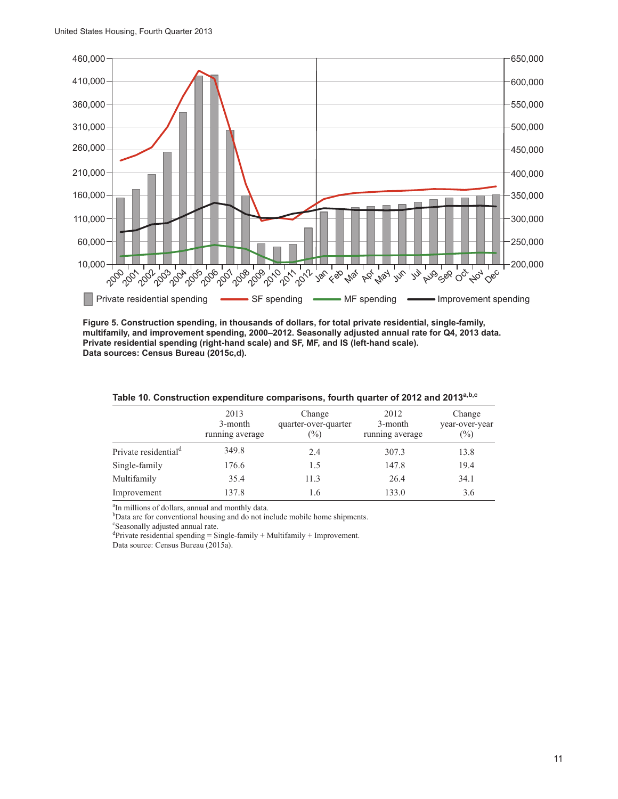

**Figure 5. Construction spending, in thousands of dollars, for total private residential, single-family, multifamily, and improvement spending, 2000–2012. Seasonally adjusted annual rate for Q4, 2013 data. Private residential spending (right-hand scale) and SF, MF, and IS (left-hand scale). Data sources: Census Bureau (2015c,d).**

|                                  | 2013<br>3-month<br>running average | Change<br>quarter-over-quarter<br>$(\%)$ | 2012<br>3-month<br>running average | Change<br>year-over-year<br>(%) |
|----------------------------------|------------------------------------|------------------------------------------|------------------------------------|---------------------------------|
| Private residential <sup>d</sup> | 349.8                              | 2.4                                      | 307.3                              | 13.8                            |
| Single-family                    | 176.6                              | 1.5                                      | 147.8                              | 19.4                            |
| Multifamily                      | 35.4                               | 11.3                                     | 26.4                               | 34.1                            |
| Improvement                      | 137.8                              | 1.6                                      | 133.0                              | 3.6                             |

#### **Table 10. Construction expenditure comparisons, fourth quarter of 2012 and 2013a,b,c**

 ${}^{a}$ In millions of dollars, annual and monthly data.

<sup>b</sup>Data are for conventional housing and do not include mobile home shipments.

c Seasonally adjusted annual rate.

<sup>d</sup>Private residential spending = Single-family + Multifamily + Improvement.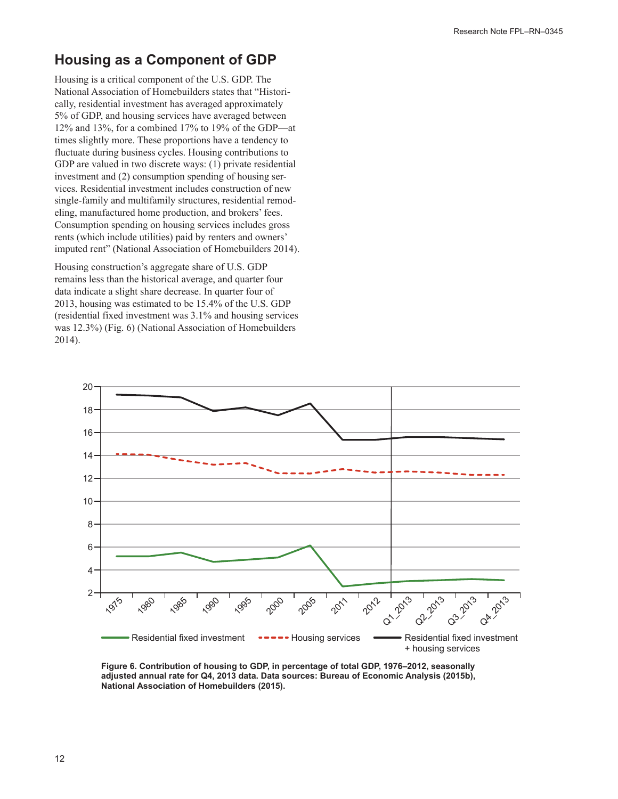## **Housing as a Component of GDP**

Housing is a critical component of the U.S. GDP. The National Association of Homebuilders states that "Historically, residential investment has averaged approximately 5% of GDP, and housing services have averaged between 12% and 13%, for a combined 17% to 19% of the GDP—at times slightly more. These proportions have a tendency to fluctuate during business cycles. Housing contributions to GDP are valued in two discrete ways: (1) private residential investment and (2) consumption spending of housing services. Residential investment includes construction of new single-family and multifamily structures, residential remodeling, manufactured home production, and brokers' fees. Consumption spending on housing services includes gross rents (which include utilities) paid by renters and owners' imputed rent" (National Association of Homebuilders 2014).

Housing construction's aggregate share of U.S. GDP remains less than the historical average, and quarter four data indicate a slight share decrease. In quarter four of 2013, housing was estimated to be 15.4% of the U.S. GDP (residential fixed investment was 3.1% and housing services was 12.3%) (Fig. 6) (National Association of Homebuilders 2014).



**Figure 6. Contribution of housing to GDP, in percentage of total GDP, 1976–2012, seasonally adjusted annual rate for Q4, 2013 data. Data sources: Bureau of Economic Analysis (2015b), National Association of Homebuilders (2015).**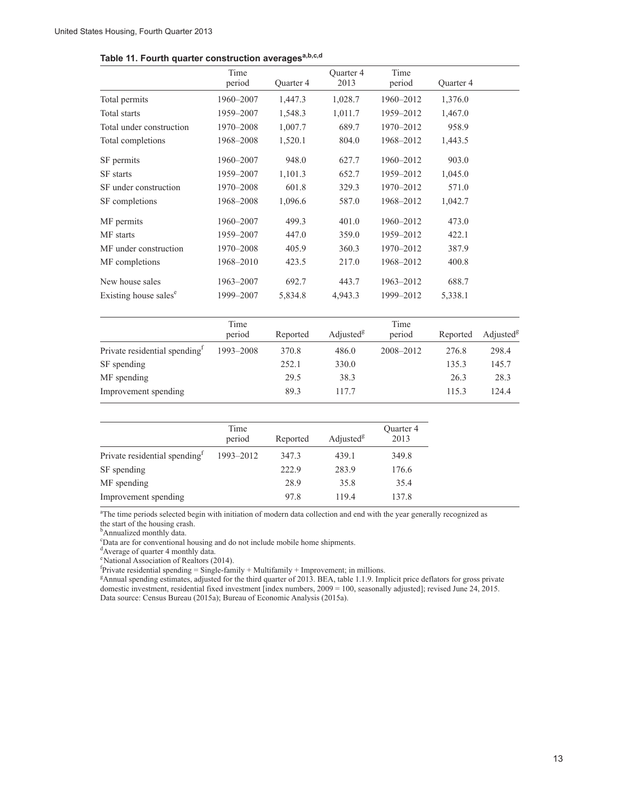#### Table 11. Fourth quarter construction averages<sup>a,b,c,d</sup>

|                                   | Time<br>period | Quarter 4 | <b>Ouarter 4</b><br>2013 | Time<br>period | Quarter 4 |
|-----------------------------------|----------------|-----------|--------------------------|----------------|-----------|
| Total permits                     | 1960-2007      | 1,447.3   | 1,028.7                  | 1960-2012      | 1,376.0   |
| Total starts                      | 1959-2007      | 1,548.3   | 1,011.7                  | 1959-2012      | 1,467.0   |
| Total under construction          | 1970-2008      | 1,007.7   | 689.7                    | 1970-2012      | 958.9     |
| Total completions                 | 1968-2008      | 1,520.1   | 804.0                    | 1968-2012      | 1,443.5   |
| SF permits                        | 1960-2007      | 948.0     | 627.7                    | 1960-2012      | 903.0     |
| <b>SF</b> starts                  | 1959-2007      | 1,101.3   | 652.7                    | 1959-2012      | 1,045.0   |
| SF under construction             | 1970-2008      | 601.8     | 329.3                    | 1970-2012      | 571.0     |
| SF completions                    | 1968-2008      | 1,096.6   | 587.0                    | 1968-2012      | 1,042.7   |
| MF permits                        | 1960-2007      | 499.3     | 401.0                    | 1960-2012      | 473.0     |
| MF starts                         | 1959-2007      | 447.0     | 359.0                    | 1959-2012      | 422.1     |
| MF under construction             | 1970-2008      | 405.9     | 360.3                    | 1970-2012      | 387.9     |
| MF completions                    | 1968-2010      | 423.5     | 217.0                    | 1968-2012      | 400.8     |
| New house sales                   | 1963-2007      | 692.7     | 443.7                    | 1963-2012      | 688.7     |
| Existing house sales <sup>e</sup> | 1999-2007      | 5,834.8   | 4,943.3                  | 1999-2012      | 5,338.1   |

|                                           | Time<br>period | Reported | Adjusted <sup>8</sup> | Time<br>period | Reported | Adjusted <sup>8</sup> |
|-------------------------------------------|----------------|----------|-----------------------|----------------|----------|-----------------------|
| Private residential spending <sup>1</sup> | 1993-2008      | 370.8    | 486.0                 | 2008-2012      | 276.8    | 298.4                 |
| SF spending                               |                | 252.1    | 330.0                 |                | 135.3    | 145.7                 |
| MF spending                               |                | 29.5     | 38.3                  |                | 26.3     | 28.3                  |
| Improvement spending                      |                | 89.3     | 1177                  |                | 115.3    | 124.4                 |

|                                           | Time<br>period | Reported | Adjusted <sup>8</sup> | Quarter 4<br>2013 |
|-------------------------------------------|----------------|----------|-----------------------|-------------------|
| Private residential spending <sup>1</sup> | 1993-2012      | 347.3    | 439.1                 | 349.8             |
| SF spending                               |                | 222.9    | 283.9                 | 176.6             |
| MF spending                               |                | 28.9     | 35.8                  | 35.4              |
| Improvement spending                      |                | 97.8     | 119.4                 | 137.8             |

<sup>a</sup>The time periods selected begin with initiation of modern data collection and end with the year generally recognized as the start of the housing crash.

<sup>b</sup>Annualized monthly data.

c Data are for conventional housing and do not include mobile home shipments.

<sup>d</sup>Average of quarter 4 monthly data.

e National Association of Realtors (2014).

<sup>f</sup>Private residential spending = Single-family + Multifamily + Improvement; in millions.<br><sup>g</sup>Annual spending estimates, adjusted for the third quarter of 2013. BEA, table 1.1.9. Implicit price deflators for gross private domestic investment, residential fixed investment [index numbers, 2009 = 100, seasonally adjusted]; revised June 24, 2015. Data source: Census Bureau (2015a); Bureau of Economic Analysis (2015a).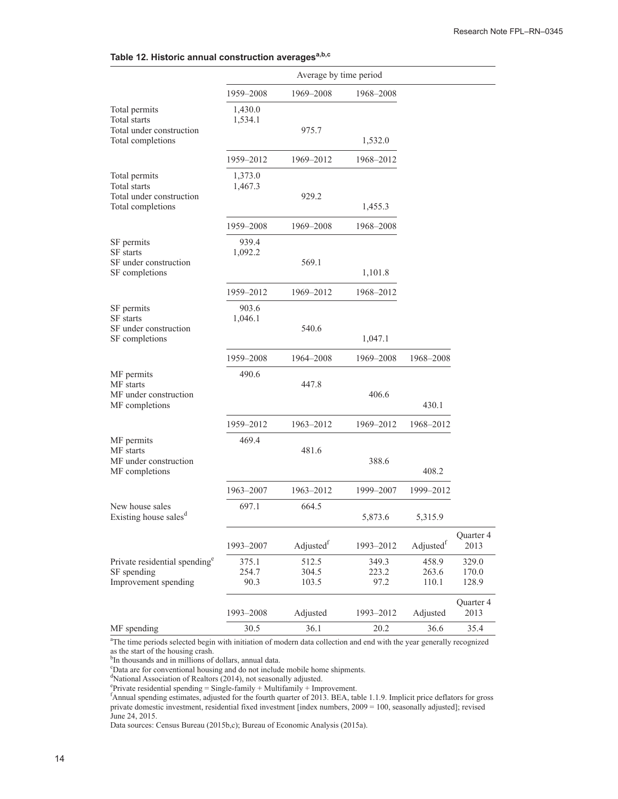|                                                                                       | Average by time period |                         |                        |                         |                         |
|---------------------------------------------------------------------------------------|------------------------|-------------------------|------------------------|-------------------------|-------------------------|
|                                                                                       | 1959–2008              | 1969-2008               | 1968–2008              |                         |                         |
| Total permits<br><b>Total</b> starts<br>Total under construction<br>Total completions | 1,430.0<br>1,534.1     | 975.7                   | 1,532.0                |                         |                         |
|                                                                                       | 1959-2012              | 1969-2012               | 1968-2012              |                         |                         |
| Total permits<br>Total starts<br>Total under construction<br>Total completions        | 1,373.0<br>1,467.3     | 929.2                   | 1,455.3                |                         |                         |
|                                                                                       | 1959-2008              | 1969-2008               | 1968-2008              |                         |                         |
| SF permits<br><b>SF</b> starts<br>SF under construction<br>SF completions             | 939.4<br>1,092.2       | 569.1                   | 1,101.8                |                         |                         |
|                                                                                       | 1959-2012              | 1969–2012               | 1968-2012              |                         |                         |
| SF permits<br>SF starts<br>SF under construction<br>SF completions                    | 903.6<br>1,046.1       | 540.6                   |                        |                         |                         |
|                                                                                       |                        |                         | 1,047.1                |                         |                         |
|                                                                                       | 1959-2008              | 1964-2008               | 1969–2008              | 1968-2008               |                         |
| MF permits<br>MF starts<br>MF under construction<br>MF completions                    | 490.6                  | 447.8                   | 406.6                  | 430.1                   |                         |
|                                                                                       | 1959-2012              | 1963-2012               | 1969-2012              | 1968-2012               |                         |
| MF permits<br>MF starts<br>MF under construction<br>MF completions                    | 469.4                  | 481.6                   | 388.6                  | 408.2                   |                         |
|                                                                                       | 1963-2007              | 1963-2012               | 1999-2007              | 1999-2012               |                         |
| New house sales<br>Existing house sales <sup>d</sup>                                  | 697.1                  | 664.5                   | 5,873.6                | 5,315.9                 |                         |
|                                                                                       | 1993-2007              | Adjustedf               | 1993-2012              | Adjustedf               | Quarter 4<br>2013       |
| Private residential spending <sup>e</sup><br>SF spending<br>Improvement spending      | 375.1<br>254.7<br>90.3 | 512.5<br>304.5<br>103.5 | 349.3<br>223.2<br>97.2 | 458.9<br>263.6<br>110.1 | 329.0<br>170.0<br>128.9 |
|                                                                                       | 1993-2008              | Adjusted                | 1993-2012              | Adjusted                | Quarter 4<br>2013       |
| MF spending                                                                           | 30.5                   | 36.1                    | 20.2                   | 36.6                    | 35.4                    |

<sup>a</sup>The time periods selected begin with initiation of modern data collection and end with the year generally recognized as the start of the housing crash.

<sup>9</sup>In thousands and in millions of dollars, annual data.<br>
"Data are for conventional housing and do not include mobile home shipments.<br>
"National Association of Realtors (2014), not seasonally adjusted.<br>
"Private residenti private domestic investment, residential fixed investment [index numbers, 2009 = 100, seasonally adjusted]; revised June 24, 2015.

Data sources: Census Bureau (2015b,c); Bureau of Economic Analysis (2015a).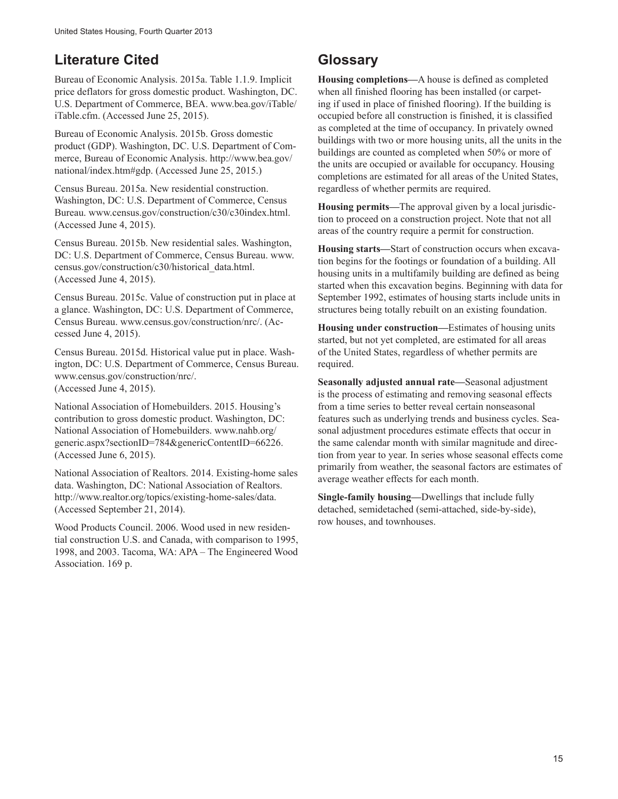## **Literature Cited**

Bureau of Economic Analysis. 2015a. Table 1.1.9. Implicit price deflators for gross domestic product. Washington, DC. U.S. Department of Commerce, BEA. www.bea.gov/iTable/ iTable.cfm. (Accessed June 25, 2015).

Bureau of Economic Analysis. 2015b. Gross domestic product (GDP). Washington, DC. U.S. Department of Commerce, Bureau of Economic Analysis. http://www.bea.gov/ national/index.htm#gdp. (Accessed June 25, 2015.)

Census Bureau. 2015a. New residential construction. Washington, DC: U.S. Department of Commerce, Census Bureau. www.census.gov/construction/c30/c30index.html. (Accessed June 4, 2015).

Census Bureau. 2015b. New residential sales. Washington, DC: U.S. Department of Commerce, Census Bureau. www. census.gov/construction/c30/historical\_data.html. (Accessed June 4, 2015).

Census Bureau. 2015c. Value of construction put in place at a glance. Washington, DC: U.S. Department of Commerce, Census Bureau. www.census.gov/construction/nrc/. (Accessed June 4, 2015).

Census Bureau. 2015d. Historical value put in place. Washington, DC: U.S. Department of Commerce, Census Bureau. www.census.gov/construction/nrc/. (Accessed June 4, 2015).

National Association of Homebuilders. 2015. Housing's contribution to gross domestic product. Washington, DC: National Association of Homebuilders. www.nahb.org/ generic.aspx?sectionID=784&genericContentID=66226. (Accessed June 6, 2015).

National Association of Realtors. 2014. Existing-home sales data. Washington, DC: National Association of Realtors. http://www.realtor.org/topics/existing-home-sales/data. (Accessed September 21, 2014).

Wood Products Council. 2006. Wood used in new residential construction U.S. and Canada, with comparison to 1995, 1998, and 2003. Tacoma, WA: APA – The Engineered Wood Association. 169 p.

## **Glossary**

**Housing completions—**A house is defined as completed when all finished flooring has been installed (or carpeting if used in place of finished flooring). If the building is occupied before all construction is finished, it is classified as completed at the time of occupancy. In privately owned buildings with two or more housing units, all the units in the buildings are counted as completed when 50% or more of the units are occupied or available for occupancy. Housing completions are estimated for all areas of the United States, regardless of whether permits are required.

**Housing permits—**The approval given by a local jurisdiction to proceed on a construction project. Note that not all areas of the country require a permit for construction.

**Housing starts—**Start of construction occurs when excavation begins for the footings or foundation of a building. All housing units in a multifamily building are defined as being started when this excavation begins. Beginning with data for September 1992, estimates of housing starts include units in structures being totally rebuilt on an existing foundation.

**Housing under construction—**Estimates of housing units started, but not yet completed, are estimated for all areas of the United States, regardless of whether permits are required.

**Seasonally adjusted annual rate—**Seasonal adjustment is the process of estimating and removing seasonal effects from a time series to better reveal certain nonseasonal features such as underlying trends and business cycles. Seasonal adjustment procedures estimate effects that occur in the same calendar month with similar magnitude and direction from year to year. In series whose seasonal effects come primarily from weather, the seasonal factors are estimates of average weather effects for each month.

**Single-family housing—**Dwellings that include fully detached, semidetached (semi-attached, side-by-side), row houses, and townhouses.